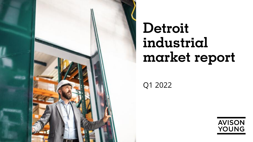

# **Detroit industrial market report**

Q1 2022

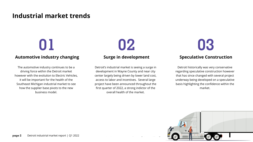### **Industrial market trends**

### **Automotive industry changing**

The automotive industry continues to be a driving force within the Detroit market however with the evolution to Electric Vehicles, it will be important for the health of the Southeast Michigan industrial market to see how the supplier base pivots to the new business model.

**Surge in development**

Detroit's industrial market is seeing a surge in development in Wayne County and near city center largely being driven by lower land cost, access to labor and incentives. Several large project have been announced throughout the first quarter of 2022, a strong indictor of the overall health of the market.

**01 02 03 Speculative Construction**

> Detroit historically was very conservative regarding speculative construction however that has since changed with several project underway being developed on a speculative basis highlighting the confidence within the market.

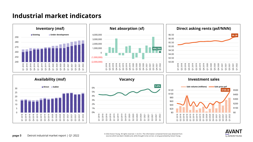### **Industrial market indicators**



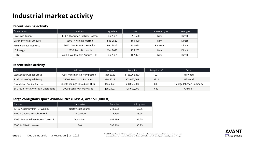## **Industrial market activity**

#### **Recent leasing activity**

| Tenant name              | Address                         | Sign date | <b>Size</b> | Transaction type | Lease type |
|--------------------------|---------------------------------|-----------|-------------|------------------|------------|
| Unknown Tenant           | 17991 Wahrman Rd New Boston     | Jan 2022  | 351,520     | New              | Direct     |
| Gardner White Furniture  | 6500 14 Mile Rd Warren          | Feb 2022  | 160,800     | <b>New</b>       | Direct     |
| Accuflex Industrial Hose | 36501 Van Born Rd Romulus       | Feb 2022  | 132.033     | Renewal          | Direct     |
| LG Energy                | 12350 Sears Dr Livonia          | Mar 2022  | 125,262     | <b>New</b>       | Direct     |
| TRIGO                    | 2430 E Walton Blyd Auburn Hills | Jan 2022  | 102.377     | New              | Direct     |

#### **Recent sales activity**

| Buyer                              | Address                       | Sale date | Sale price    | Sale price psf | Seller                 |
|------------------------------------|-------------------------------|-----------|---------------|----------------|------------------------|
| Stockbridge Capital Group          | 17991 Wahrman Rd New Boston   | Mar 2022  | \$166,262,433 | \$221          | Hillwood               |
| Stockbridge Capital Group          | 33701 Prescott St Romulus     | Mar 2022  | \$53,075,663  | \$212          | Hillwood               |
| <b>Foundation Capital Partners</b> | 3600 Giddings Rd Auburn Hills | Jan 2022  | \$38,050,000  | \$85           | George Johnson Company |
| ZF Group North American Operations | 2900 Busha Hwy Marysville     | Jan 2022  | \$28,600,000  | \$42           | Chrysler               |

#### **Large contiguous space availabilities (Class A, over 500,000 sf)**

| Address                            | Submarket         | Block size | Asking rent |  |
|------------------------------------|-------------------|------------|-------------|--|
| 10160 Assembly Park Dr Wixom       | Northwest Suburbs | 741.993    | \$6.95      |  |
| 2100 S Opdyke Rd Auburn Hills      | I-75 Corridor     | 713,796    | \$6.95      |  |
| 42060 Ecorse Rd Van Buren Township | Downriver         | 659,589    | \$7.25      |  |
| 6500 14 Mile Rd Warren             | East              | 595,368    | \$5.75      |  |

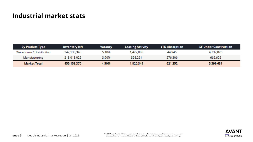### **Industrial market stats**

| <b>By Product Type</b>   | Inventory (sf) | Vacancy | <b>Leasing Activity</b> | <b>YTD Absorption</b> | <b>SF Under Construction</b> |
|--------------------------|----------------|---------|-------------------------|-----------------------|------------------------------|
| Warehouse / Distribution | 242,135,345    | 5.10%   | 1,422,088               | 44,946                | 4,737,026                    |
| Manufacturing            | 213,018,025    | 3.90%   | 398,261                 | 576,306               | 662,605                      |
| Market Total             | 455,153,370    | 4.50%   | 1,820,349               | 621,252               | 5,399,631                    |